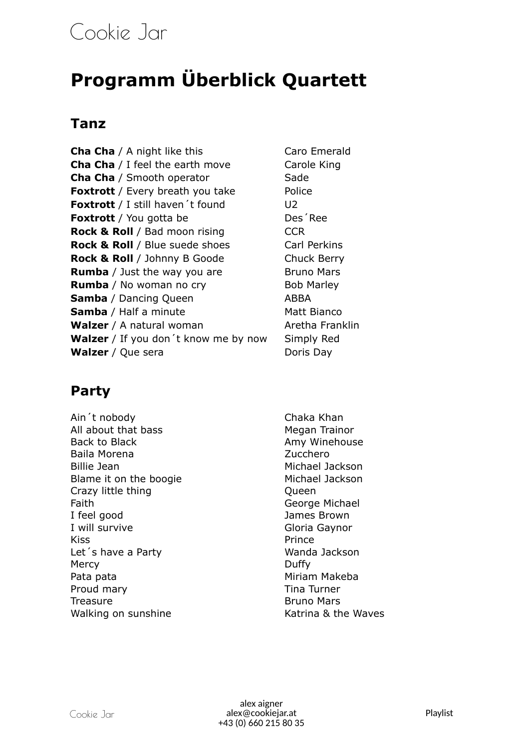# Cookie Jar

## **Programm Überblick Quartett**

#### **Tanz**

**Cha Cha** / A night like this **Cha Cha** / I feel the earth move **Cha Cha** / Smooth operator **Foxtrott** / Every breath you take **Foxtrott** / I still haven´t found **Foxtrott** / You gotta be **Rock & Roll** / Bad moon rising **Rock & Roll** / Blue suede shoes **Rock & Roll** / Johnny B Goode **Rumba** / Just the way you are **Rumba** / No woman no cry **Samba** / Dancing Queen **Samba** / Half a minute **Walzer** / A natural woman **Walzer** / If you don´t know me by now **Walzer** / Que sera

Caro Emerald Carole King Sade Police  $U<sub>2</sub>$ Des´Ree CCR Carl Perkins Chuck Berry Bruno Mars Bob Marley ABBA Matt Bianco Aretha Franklin Simply Red Doris Day

### **Party**

Ain´t nobody Chaka Khan All about that bass Megan Trainor Back to Black **Amy Winehouse** Back to Black Baila Morena Zucchero Billie Jean **Michael Jackson** Blame it on the boogie Michael Jackson Crazy little thing and a controller controller of the Cueen Faith George Michael I feel good James Brown I will survive Gloria Gaynor Kiss **Prince** Let's have a Party Nanda Jackson Mercy **Duffy** Pata pata **Miriam Makeba** Proud mary **No. 2018** Tina Turner Treasure **Bruno Mars** Walking on sunshine Walking on sunshine